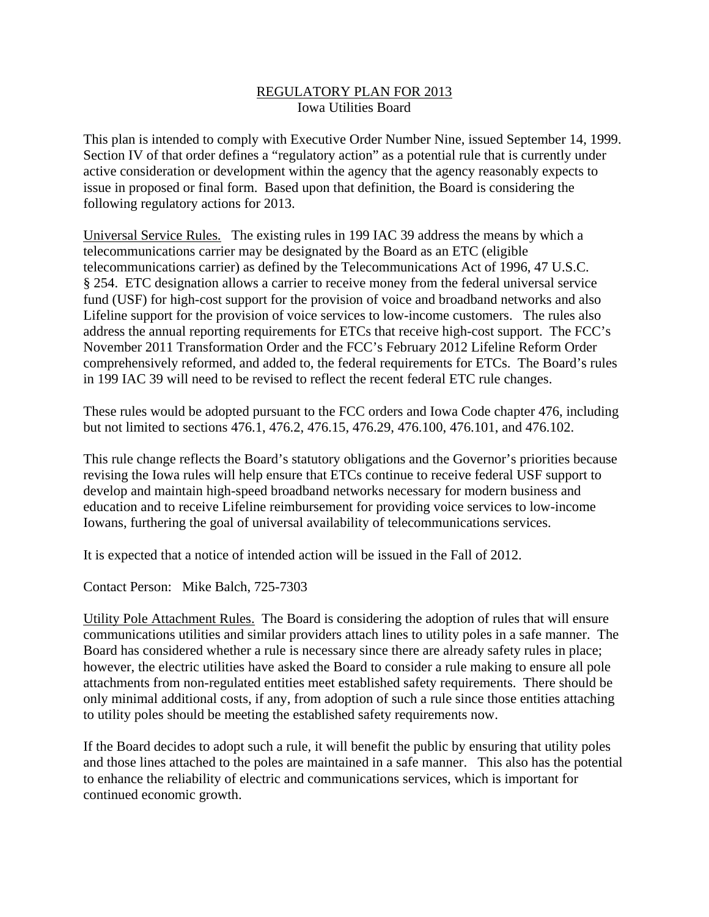## REGULATORY PLAN FOR 2013 Iowa Utilities Board

This plan is intended to comply with Executive Order Number Nine, issued September 14, 1999. Section IV of that order defines a "regulatory action" as a potential rule that is currently under active consideration or development within the agency that the agency reasonably expects to issue in proposed or final form. Based upon that definition, the Board is considering the following regulatory actions for 2013.

Universal Service Rules. The existing rules in 199 IAC 39 address the means by which a telecommunications carrier may be designated by the Board as an ETC (eligible telecommunications carrier) as defined by the Telecommunications Act of 1996, 47 U.S.C. § 254. ETC designation allows a carrier to receive money from the federal universal service fund (USF) for high-cost support for the provision of voice and broadband networks and also Lifeline support for the provision of voice services to low-income customers. The rules also address the annual reporting requirements for ETCs that receive high-cost support. The FCC's November 2011 Transformation Order and the FCC's February 2012 Lifeline Reform Order comprehensively reformed, and added to, the federal requirements for ETCs. The Board's rules in 199 IAC 39 will need to be revised to reflect the recent federal ETC rule changes.

These rules would be adopted pursuant to the FCC orders and Iowa Code chapter 476, including but not limited to sections 476.1, 476.2, 476.15, 476.29, 476.100, 476.101, and 476.102.

This rule change reflects the Board's statutory obligations and the Governor's priorities because revising the Iowa rules will help ensure that ETCs continue to receive federal USF support to develop and maintain high-speed broadband networks necessary for modern business and education and to receive Lifeline reimbursement for providing voice services to low-income Iowans, furthering the goal of universal availability of telecommunications services.

It is expected that a notice of intended action will be issued in the Fall of 2012.

Contact Person: Mike Balch, 725-7303

Utility Pole Attachment Rules. The Board is considering the adoption of rules that will ensure communications utilities and similar providers attach lines to utility poles in a safe manner. The Board has considered whether a rule is necessary since there are already safety rules in place; however, the electric utilities have asked the Board to consider a rule making to ensure all pole attachments from non-regulated entities meet established safety requirements. There should be only minimal additional costs, if any, from adoption of such a rule since those entities attaching to utility poles should be meeting the established safety requirements now.

If the Board decides to adopt such a rule, it will benefit the public by ensuring that utility poles and those lines attached to the poles are maintained in a safe manner. This also has the potential to enhance the reliability of electric and communications services, which is important for continued economic growth.